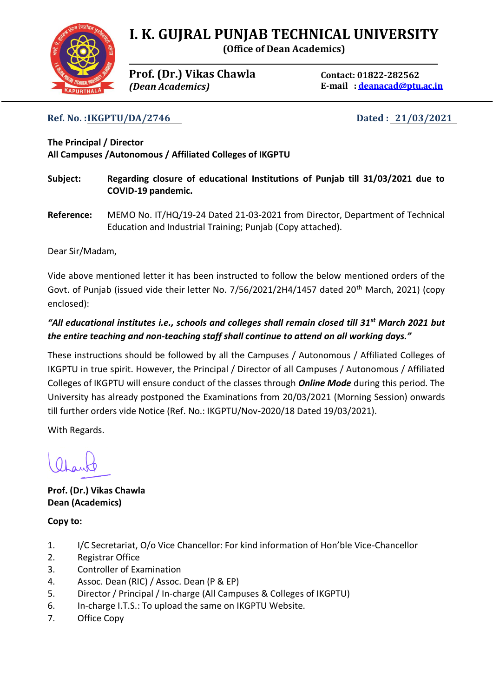## **I. K. GUJRAL PUNJAB TECHNICAL UNIVERSITY**

**(Office of Dean Academics)**

**Prof. (Dr.) Vikas Chawla** *(Dean Academics)*

**Contact: 01822-282562 E-mail : [deanacad@ptu.ac.in](mailto:deanacad@ptu.ac.in)**

**Ref. No. :IKGPTU/DA/2746 Dated : 21/03/2021**

**The Principal / Director All Campuses /Autonomous / Affiliated Colleges of IKGPTU**

- **Subject: Regarding closure of educational Institutions of Punjab till 31/03/2021 due to COVID-19 pandemic.**
- **Reference:** MEMO No. IT/HQ/19-24 Dated 21-03-2021 from Director, Department of Technical Education and Industrial Training; Punjab (Copy attached).

Dear Sir/Madam,

Vide above mentioned letter it has been instructed to follow the below mentioned orders of the Govt. of Punjab (issued vide their letter No. 7/56/2021/2H4/1457 dated 20<sup>th</sup> March, 2021) (copy enclosed):

## *"All educational institutes i.e., schools and colleges shall remain closed till 31st March 2021 but the entire teaching and non-teaching staff shall continue to attend on all working days."*

These instructions should be followed by all the Campuses / Autonomous / Affiliated Colleges of IKGPTU in true spirit. However, the Principal / Director of all Campuses / Autonomous / Affiliated Colleges of IKGPTU will ensure conduct of the classes through *Online Mode* during this period. The University has already postponed the Examinations from 20/03/2021 (Morning Session) onwards till further orders vide Notice (Ref. No.: IKGPTU/Nov-2020/18 Dated 19/03/2021).

With Regards.

**Prof. (Dr.) Vikas Chawla Dean (Academics)**

**Copy to:**

- 1. I/C Secretariat, O/o Vice Chancellor: For kind information of Hon'ble Vice-Chancellor
- 2. Registrar Office
- 3. Controller of Examination
- 4. Assoc. Dean (RIC) / Assoc. Dean (P & EP)
- 5. Director / Principal / In-charge (All Campuses & Colleges of IKGPTU)
- 6. In-charge I.T.S.: To upload the same on IKGPTU Website.
- 7. Office Copy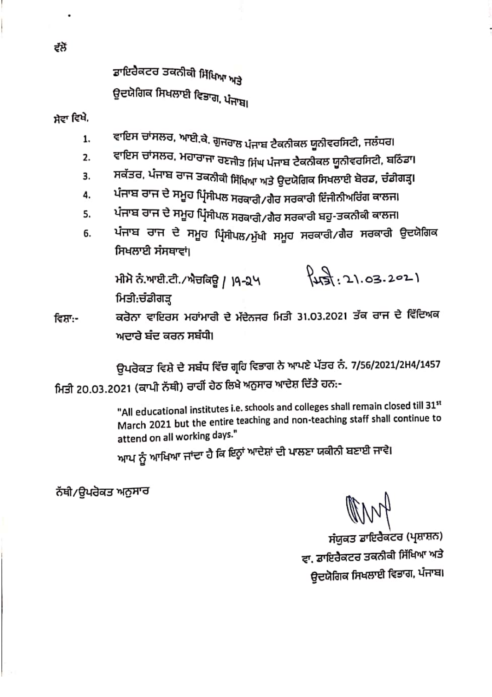ਤਾਇਰੈਕਟਰ ਤਕਨੀਕੀ ਸਿੱਖਿਆ ਅਤੇ ਉਦਯੋਗਿਕ ਸਿਖਲਾਈ ਵਿਭਾਗ, ਪੰਜਾਬ।

ਸੇਵਾ ਵਿਖੇ,

- ਵਾਇਸ ਚਾਂਸਲਰ, ਆਈ.ਕੇ. ਗੁਜਰਾਲ ਪੰਜਾਬ ਟੈਕਨੀਕਲ ਯੂਨੀਵਰਸਿਟੀ, ਜਲੰਧਰ। 1.
- ਵਾਇਸ ਚਾਂਸਲਰ. ਮਹਾਰਾਜਾ ਰਣਜੀਤ ਸਿੰਘ ਪੰਜਾਬ ਟੈਕਨੀਕਲ ਯੂਨੀਵਰਸਿਟੀ, ਬਠਿੰਡਾ। 2.
- ਸਕੱਤਰ, ਪੰਜਾਬ ਰਾਜ ਤਕਨੀਕੀ ਸਿੱਖਿਆ ਅਤੇ ਉਦਯੋਗਿਕ ਸਿਖਲਾਈ ਬੋਰਡ, ਚੰਡੀਗੜ੍ਹ। 3.
- ਪੰਜਾਬ ਰਾਜ ਦੇ ਸਮੂਹ ਪ੍ਰਿੰਸੀਪਲ ਸਰਕਾਰੀ/ਗੈਰ ਸਰਕਾਰੀ ਇੰਜੀਨੀਅਰਿੰਗ ਕਾਲਜ। 4.
- ਪੰਜਾਬ ਰਾਜ ਦੇ ਸਮੂਹ ਪ੍ਰਿੰਸੀਪਲ ਸਰਕਾਰੀ∕ਗੈਰ ਸਰਕਾਰੀ ਬਹੁ-ਤਕਨੀਕੀ ਕਾਲਜ। 5.
- ਪੰਜਾਬ ਰਾਜ ਦੇ ਸਮੂਹ ਪ੍ਰਿੰਸੀਪਲ/ਮੁੱਖੀ ਸਮੂਹ ਸਰਕਾਰੀ/ਗੈਰ ਸਰਕਾਰੀ ਉਦਯੋਗਿਕ б. ਸਿਖਲਾਈ ਸੰਸਥਾਵਾਂ।

ਮੀਮੋ ਨੰ.ਆਈ.ਟੀ./ਐਚਕਿਊ / )੧-੨੫ ਮਿਤੀ:ਚੰਡੀਗੜ

 $\sqrt{43}$ : 21.03.2021

ਕਰੋਨਾ ਵਾਇਰਸ ਮਹਾਂਮਾਰੀ ਦੇ ਮੱਦੇਨਜਰ ਮਿਤੀ 31.03.2021 ਤੱਕ ਰਾਜ ਦੇ ਵਿੱਦਿਅਕ ਵਿਸ਼ਾ:-ਅਦਾਰੇ ਬੰਦ ਕਰਨ ਸਬੰਧੀ।

ਉਪਰੋਕਤ ਵਿਸ਼ੇ ਦੇ ਸਬੰਧ ਵਿੱਚ ਗ੍ਰਹਿ ਵਿਭਾਗ ਨੇ ਆਪਣੇ ਪੱਤਰ ਨੰ. 7/56/2021/2H4/1457 ਮਿਤੀ 20.03.2021 (ਕਾਪੀ ਨੱਥੀ) ਰਾਹੀਂ ਹੇਠ ਲਿਖੇ ਅਨੁਸਾਰ ਆਦੇਸ਼ ਦਿੱਤੇ ਹਨ:-

> "All educational institutes i.e. schools and colleges shall remain closed till 31st March 2021 but the entire teaching and non-teaching staff shall continue to attend on all working days."

ਆਪ ਨੂੰ ਆਖਿਆ ਜਾਂਦਾ ਹੈ ਕਿ ਇਨ੍ਹਾਂ ਆਦੇਸ਼ਾਂ ਦੀ ਪਾਲਣਾ ਯਕੀਨੀ ਬਣਾਈ ਜਾਵੇ।

ਨੱਥੀ/ਉਪਰੋਕਤ ਅਨੁਸਾਰ

AM

ਸੰਯੁਕਤ ਡਾਇਰੈਕਟਰ (ਪ੍ਰਸ਼ਾਸ਼ਨ) ਵਾ. ਡਾਇਰੈਕਟਰ ਤਕਨੀਕੀ ਸਿੱਖਿਆ ਅਤੇ ਉਦਯੋਗਿਕ ਸਿਖਲਾਈ ਵਿਭਾਗ, ਪੰਜਾਬ।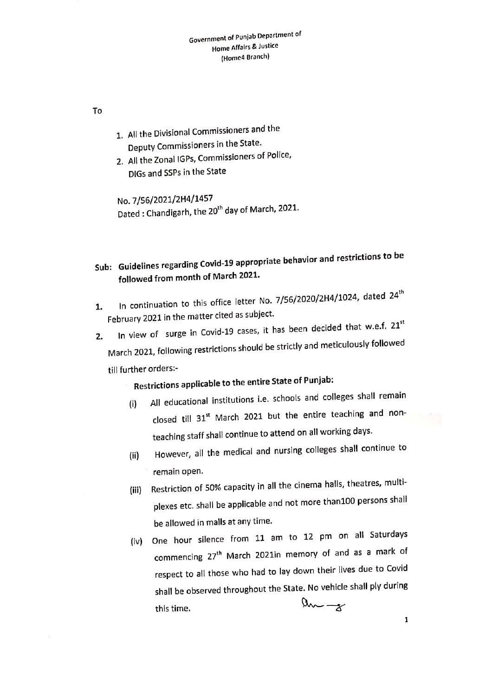To

- 1. All the Divisional Commissioners and the Deputy Commissioners in the State.
- 2. All the Zonal IGPs, Commissioners of Police,
	- DIGs and SSPs in the State

No. 7/56/2021/2H4/1457 Dated: Chandigarh, the 20<sup>th</sup> day of March, 2021.

- Sub: Guidelines regarding Covid-19 appropriate behavior and restrictions to be followed from month of March 2021.
- In continuation to this office letter No. 7/56/2020/2H4/1024, dated 24<sup>th</sup> 1. February 2021 in the matter cited as subject.
- In view of surge in Covid-19 cases, it has been decided that w.e.f. 21st 2. March 2021, following restrictions should be strictly and meticulously followed till further orders:-

## Restrictions applicable to the entire State of Punjab:

- All educational institutions i.e. schools and colleges shall remain  $(i)$ closed till 31<sup>st</sup> March 2021 but the entire teaching and nonteaching staff shall continue to attend on all working days.
- However, all the medical and nursing colleges shall continue to  $(ii)$ remain open.
- Restriction of 50% capacity in all the cinema halls, theatres, multi-(iii) plexes etc. shall be applicable and not more than100 persons shall be allowed in malls at any time.
- (iv) One hour silence from 11 am to 12 pm on all Saturdays commencing 27<sup>th</sup> March 2021in memory of and as a mark of respect to all those who had to lay down their lives due to Covid shall be observed throughout the State. No vehicle shall ply during  $a_{\sim -x}$ this time.
	- $\mathbf 1$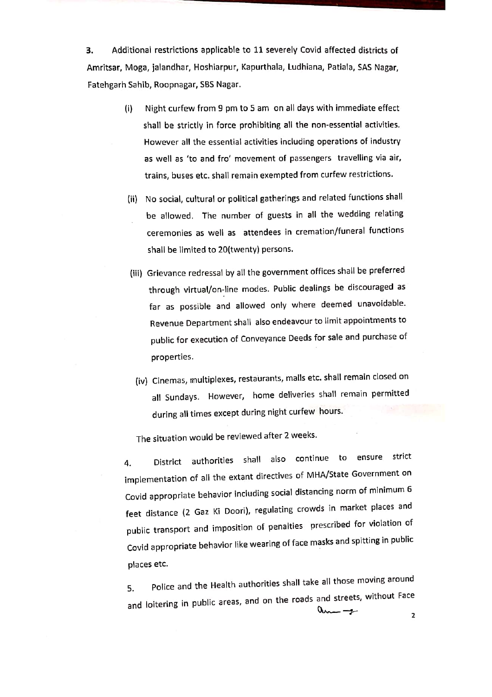Additional restrictions applicable to 11 severely Covid affected districts of 3. Amritsar, Moga, jalandhar, Hoshiarpur, Kapurthala, Ludhiana, Patiala, SAS Nagar, Fatehgarh Sahib, Roopnagar, SBS Nagar.

- Night curfew from 9 pm to 5 am on all days with immediate effect  $(i)$ shall be strictly in force prohibiting all the non-essential activities. However all the essential activities including operations of industry as well as 'to and fro' movement of passengers travelling via air, trains, buses etc. shall remain exempted from curfew restrictions.
- (ii) No social, cultural or political gatherings and related functions shall be allowed. The number of guests in all the wedding relating ceremonies as well as attendees in cremation/funeral functions shall be limited to 20(twenty) persons.
- (iii) Grievance redressal by all the government offices shall be preferred through virtual/on-line modes. Public dealings be discouraged as far as possible and allowed only where deemed unavoidable. Revenue Department shall also endeavour to limit appointments to public for execution of Conveyance Deeds for sale and purchase of properties.
	- (iv) Cinemas, multiplexes, restaurants, malls etc. shall remain closed on all Sundays. However, home deliveries shall remain permitted during all times except during night curfew hours.

The situation would be reviewed after 2 weeks.

District authorities shall also continue to ensure strict 4. implementation of all the extant directives of MHA/State Government on Covid appropriate behavior including social distancing norm of minimum 6 feet distance (2 Gaz Ki Doori), regulating crowds in market places and public transport and imposition of penalties prescribed for violation of Covid appropriate behavior like wearing of face masks and spitting in public places etc.

Police and the Health authorities shall take all those moving around 5. and loitering in public areas, and on the roads and streets, without Face  $0$ m -

2